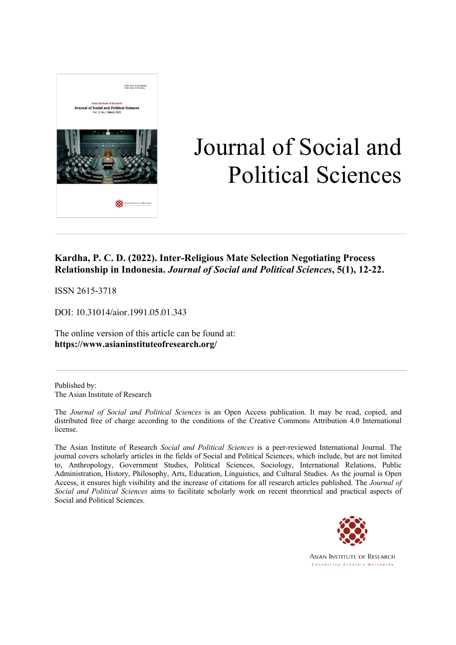

# Journal of Social and Political Sciences

### **Kardha, P. C. D. (2022). Inter-Religious Mate Selection Negotiating Process Relationship in Indonesia.** *Journal of Social and Political Sciences***, 5(1), 12-22.**

ISSN 2615-3718

DOI: 10.31014/aior.1991.05.01.343

The online version of this article can be found at: **https://www.asianinstituteofresearch.org/**

Published by: The Asian Institute of Research

The *Journal of Social and Political Sciences* is an Open Access publication. It may be read, copied, and distributed free of charge according to the conditions of the Creative Commons Attribution 4.0 International license.

The Asian Institute of Research *Social and Political Sciences* is a peer-reviewed International Journal. The journal covers scholarly articles in the fields of Social and Political Sciences, which include, but are not limited to, Anthropology, Government Studies, Political Sciences, Sociology, International Relations, Public Administration, History, Philosophy, Arts, Education, Linguistics, and Cultural Studies. As the journal is Open Access, it ensures high visibility and the increase of citations for all research articles published. The *Journal of Social and Political Sciences* aims to facilitate scholarly work on recent theoretical and practical aspects of Social and Political Sciences.



**ASIAN INSTITUTE OF RESEARCH** Connecting Scholars Worldwide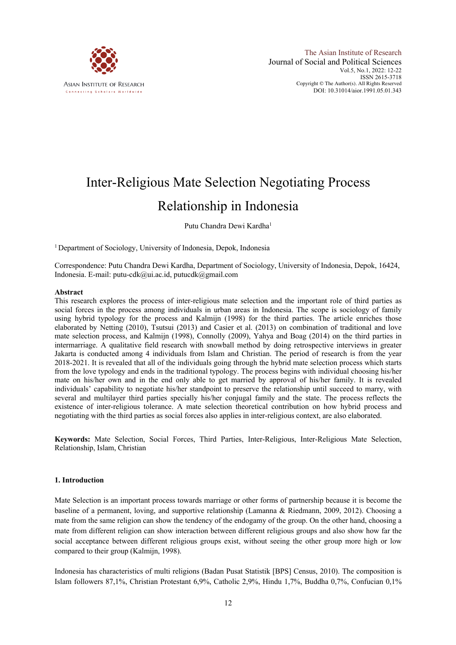

## Inter-Religious Mate Selection Negotiating Process Relationship in Indonesia

Putu Chandra Dewi Kardha<sup>1</sup>

<sup>1</sup> Department of Sociology, University of Indonesia, Depok, Indonesia

Correspondence: Putu Chandra Dewi Kardha, Department of Sociology, University of Indonesia, Depok, 16424, Indonesia. E-mail: putu-cdk@ui.ac.id, putucdk@gmail.com

#### **Abstract**

This research explores the process of inter-religious mate selection and the important role of third parties as social forces in the process among individuals in urban areas in Indonesia. The scope is sociology of family using hybrid typology for the process and Kalmijn (1998) for the third parties. The article enriches those elaborated by Netting (2010), Tsutsui (2013) and Casier et al. (2013) on combination of traditional and love mate selection process, and Kalmijn (1998), Connolly (2009), Yahya and Boag (2014) on the third parties in intermarriage. A qualitative field research with snowball method by doing retrospective interviews in greater Jakarta is conducted among 4 individuals from Islam and Christian. The period of research is from the year 2018-2021. It is revealed that all of the individuals going through the hybrid mate selection process which starts from the love typology and ends in the traditional typology. The process begins with individual choosing his/her mate on his/her own and in the end only able to get married by approval of his/her family. It is revealed individuals' capability to negotiate his/her standpoint to preserve the relationship until succeed to marry, with several and multilayer third parties specially his/her conjugal family and the state. The process reflects the existence of inter-religious tolerance. A mate selection theoretical contribution on how hybrid process and negotiating with the third parties as social forces also applies in inter-religious context, are also elaborated.

**Keywords:** Mate Selection, Social Forces, Third Parties, Inter-Religious, Inter-Religious Mate Selection, Relationship, Islam, Christian

#### **1. Introduction**

Mate Selection is an important process towards marriage or other forms of partnership because it is become the baseline of a permanent, loving, and supportive relationship (Lamanna & Riedmann, 2009, 2012). Choosing a mate from the same religion can show the tendency of the endogamy of the group. On the other hand, choosing a mate from different religion can show interaction between different religious groups and also show how far the social acceptance between different religious groups exist, without seeing the other group more high or low compared to their group (Kalmijn, 1998).

Indonesia has characteristics of multi religions (Badan Pusat Statistik [BPS] Census, 2010). The composition is Islam followers 87,1%, Christian Protestant 6,9%, Catholic 2,9%, Hindu 1,7%, Buddha 0,7%, Confucian 0,1%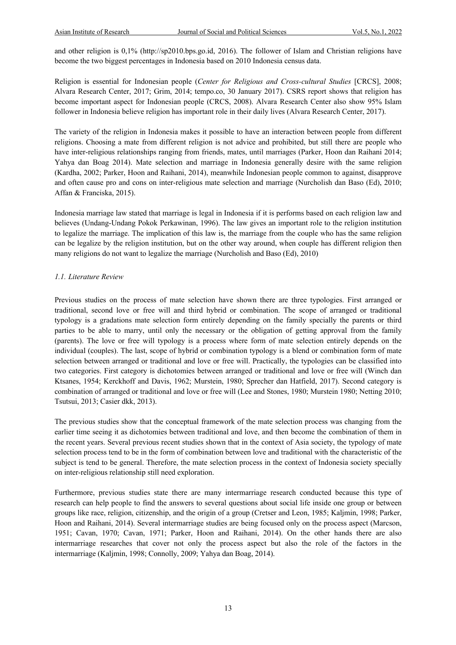and other religion is 0,1% (http://sp2010.bps.go.id, 2016). The follower of Islam and Christian religions have become the two biggest percentages in Indonesia based on 2010 Indonesia census data.

Religion is essential for Indonesian people (*Center for Religious and Cross-cultural Studies* [CRCS], 2008; Alvara Research Center, 2017; Grim, 2014; tempo.co, 30 January 2017). CSRS report shows that religion has become important aspect for Indonesian people (CRCS, 2008). Alvara Research Center also show 95% Islam follower in Indonesia believe religion has important role in their daily lives (Alvara Research Center, 2017).

The variety of the religion in Indonesia makes it possible to have an interaction between people from different religions. Choosing a mate from different religion is not advice and prohibited, but still there are people who have inter-religious relationships ranging from friends, mates, until marriages (Parker, Hoon dan Raihani 2014; Yahya dan Boag 2014). Mate selection and marriage in Indonesia generally desire with the same religion (Kardha, 2002; Parker, Hoon and Raihani, 2014), meanwhile Indonesian people common to against, disapprove and often cause pro and cons on inter-religious mate selection and marriage (Nurcholish dan Baso (Ed), 2010; Affan & Franciska, 2015).

Indonesia marriage law stated that marriage is legal in Indonesia if it is performs based on each religion law and believes (Undang-Undang Pokok Perkawinan, 1996). The law gives an important role to the religion institution to legalize the marriage. The implication of this law is, the marriage from the couple who has the same religion can be legalize by the religion institution, but on the other way around, when couple has different religion then many religions do not want to legalize the marriage (Nurcholish and Baso (Ed), 2010)

#### *1.1. Literature Review*

Previous studies on the process of mate selection have shown there are three typologies. First arranged or traditional, second love or free will and third hybrid or combination. The scope of arranged or traditional typology is a gradations mate selection form entirely depending on the family specially the parents or third parties to be able to marry, until only the necessary or the obligation of getting approval from the family (parents). The love or free will typology is a process where form of mate selection entirely depends on the individual (couples). The last, scope of hybrid or combination typology is a blend or combination form of mate selection between arranged or traditional and love or free will. Practically, the typologies can be classified into two categories. First category is dichotomies between arranged or traditional and love or free will (Winch dan Ktsanes, 1954; Kerckhoff and Davis, 1962; Murstein, 1980; Sprecher dan Hatfield, 2017). Second category is combination of arranged or traditional and love or free will (Lee and Stones, 1980; Murstein 1980; Netting 2010; Tsutsui, 2013; Casier dkk, 2013).

The previous studies show that the conceptual framework of the mate selection process was changing from the earlier time seeing it as dichotomies between traditional and love, and then become the combination of them in the recent years. Several previous recent studies shown that in the context of Asia society, the typology of mate selection process tend to be in the form of combination between love and traditional with the characteristic of the subject is tend to be general. Therefore, the mate selection process in the context of Indonesia society specially on inter-religious relationship still need exploration.

Furthermore, previous studies state there are many intermarriage research conducted because this type of research can help people to find the answers to several questions about social life inside one group or between groups like race, religion, citizenship, and the origin of a group (Cretser and Leon, 1985; Kaljmin, 1998; Parker, Hoon and Raihani, 2014). Several intermarriage studies are being focused only on the process aspect (Marcson, 1951; Cavan, 1970; Cavan, 1971; Parker, Hoon and Raihani, 2014). On the other hands there are also intermarriage researches that cover not only the process aspect but also the role of the factors in the intermarriage (Kaljmin, 1998; Connolly, 2009; Yahya dan Boag, 2014).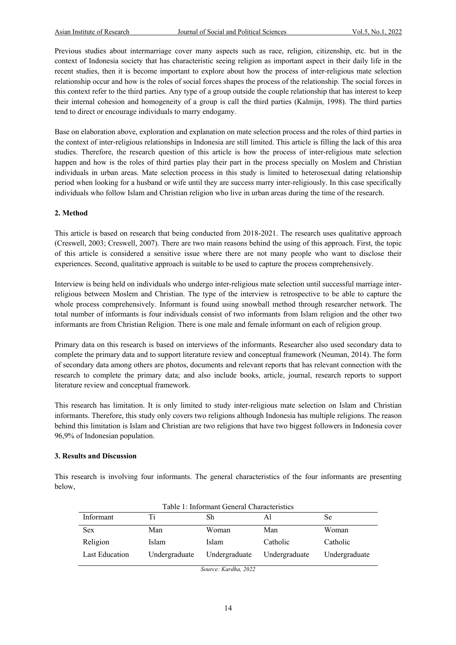Previous studies about intermarriage cover many aspects such as race, religion, citizenship, etc. but in the context of Indonesia society that has characteristic seeing religion as important aspect in their daily life in the recent studies, then it is become important to explore about how the process of inter-religious mate selection relationship occur and how is the roles of social forces shapes the process of the relationship. The social forces in this context refer to the third parties. Any type of a group outside the couple relationship that has interest to keep their internal cohesion and homogeneity of a group is call the third parties (Kalmijn, 1998). The third parties tend to direct or encourage individuals to marry endogamy.

Base on elaboration above, exploration and explanation on mate selection process and the roles of third parties in the context of inter-religious relationships in Indonesia are still limited. This article is filling the lack of this area studies. Therefore, the research question of this article is how the process of inter-religious mate selection happen and how is the roles of third parties play their part in the process specially on Moslem and Christian individuals in urban areas. Mate selection process in this study is limited to heterosexual dating relationship period when looking for a husband or wife until they are success marry inter-religiously. In this case specifically individuals who follow Islam and Christian religion who live in urban areas during the time of the research.

#### **2. Method**

This article is based on research that being conducted from 2018-2021. The research uses qualitative approach (Creswell, 2003; Creswell, 2007). There are two main reasons behind the using of this approach. First, the topic of this article is considered a sensitive issue where there are not many people who want to disclose their experiences. Second, qualitative approach is suitable to be used to capture the process comprehensively.

Interview is being held on individuals who undergo inter-religious mate selection until successful marriage interreligious between Moslem and Christian. The type of the interview is retrospective to be able to capture the whole process comprehensively. Informant is found using snowball method through researcher network. The total number of informants is four individuals consist of two informants from Islam religion and the other two informants are from Christian Religion. There is one male and female informant on each of religion group.

Primary data on this research is based on interviews of the informants. Researcher also used secondary data to complete the primary data and to support literature review and conceptual framework (Neuman, 2014). The form of secondary data among others are photos, documents and relevant reports that has relevant connection with the research to complete the primary data; and also include books, article, journal, research reports to support literature review and conceptual framework.

This research has limitation. It is only limited to study inter-religious mate selection on Islam and Christian informants. Therefore, this study only covers two religions although Indonesia has multiple religions. The reason behind this limitation is Islam and Christian are two religions that have two biggest followers in Indonesia cover 96,9% of Indonesian population.

#### **3. Results and Discussion**

This research is involving four informants. The general characteristics of the four informants are presenting below,

| Table 1: Informant General Characteristics |               |               |               |               |  |  |  |
|--------------------------------------------|---------------|---------------|---------------|---------------|--|--|--|
| Informant                                  | Ti            | Sh            | ΑI            | Se            |  |  |  |
| <b>Sex</b>                                 | Man           | Woman         | Man           | Woman         |  |  |  |
| Religion                                   | <b>Islam</b>  | Islam         | Catholic      | Catholic      |  |  |  |
| Last Education                             | Undergraduate | Undergraduate | Undergraduate | Undergraduate |  |  |  |

*Source: Kardha, 2022*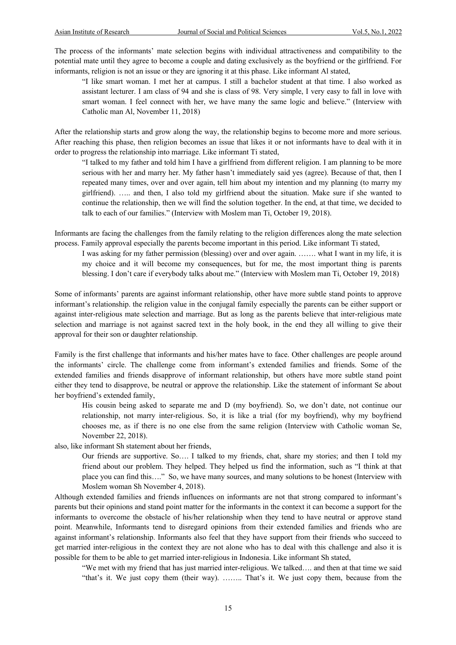The process of the informants' mate selection begins with individual attractiveness and compatibility to the potential mate until they agree to become a couple and dating exclusively as the boyfriend or the girlfriend. For informants, religion is not an issue or they are ignoring it at this phase. Like informant Al stated,

"I like smart woman. I met her at campus. I still a bachelor student at that time. I also worked as assistant lecturer. I am class of 94 and she is class of 98. Very simple, I very easy to fall in love with smart woman. I feel connect with her, we have many the same logic and believe." (Interview with Catholic man Al, November 11, 2018)

After the relationship starts and grow along the way, the relationship begins to become more and more serious. After reaching this phase, then religion becomes an issue that likes it or not informants have to deal with it in order to progress the relationship into marriage. Like informant Ti stated,

"I talked to my father and told him I have a girlfriend from different religion. I am planning to be more serious with her and marry her. My father hasn't immediately said yes (agree). Because of that, then I repeated many times, over and over again, tell him about my intention and my planning (to marry my girlfriend). ….. and then, I also told my girlfriend about the situation. Make sure if she wanted to continue the relationship, then we will find the solution together. In the end, at that time, we decided to talk to each of our families." (Interview with Moslem man Ti, October 19, 2018).

Informants are facing the challenges from the family relating to the religion differences along the mate selection process. Family approval especially the parents become important in this period. Like informant Ti stated,

I was asking for my father permission (blessing) over and over again. ……. what I want in my life, it is my choice and it will become my consequences, but for me, the most important thing is parents blessing. I don't care if everybody talks about me." (Interview with Moslem man Ti, October 19, 2018)

Some of informants' parents are against informant relationship, other have more subtle stand points to approve informant's relationship. the religion value in the conjugal family especially the parents can be either support or against inter-religious mate selection and marriage. But as long as the parents believe that inter-religious mate selection and marriage is not against sacred text in the holy book, in the end they all willing to give their approval for their son or daughter relationship.

Family is the first challenge that informants and his/her mates have to face. Other challenges are people around the informants' circle. The challenge come from informant's extended families and friends. Some of the extended families and friends disapprove of informant relationship, but others have more subtle stand point either they tend to disapprove, be neutral or approve the relationship. Like the statement of informant Se about her boyfriend's extended family,

His cousin being asked to separate me and D (my boyfriend). So, we don't date, not continue our relationship, not marry inter-religious. So, it is like a trial (for my boyfriend), why my boyfriend chooses me, as if there is no one else from the same religion (Interview with Catholic woman Se, November 22, 2018).

also, like informant Sh statement about her friends,

Our friends are supportive. So…. I talked to my friends, chat, share my stories; and then I told my friend about our problem. They helped. They helped us find the information, such as "I think at that place you can find this…." So, we have many sources, and many solutions to be honest (Interview with Moslem woman Sh November 4, 2018).

Although extended families and friends influences on informants are not that strong compared to informant's parents but their opinions and stand point matter for the informants in the context it can become a support for the informants to overcome the obstacle of his/her relationship when they tend to have neutral or approve stand point. Meanwhile, Informants tend to disregard opinions from their extended families and friends who are against informant's relationship. Informants also feel that they have support from their friends who succeed to get married inter-religious in the context they are not alone who has to deal with this challenge and also it is possible for them to be able to get married inter-religious in Indonesia. Like informant Sh stated,

"We met with my friend that has just married inter-religious. We talked…. and then at that time we said "that's it. We just copy them (their way). …….. That's it. We just copy them, because from the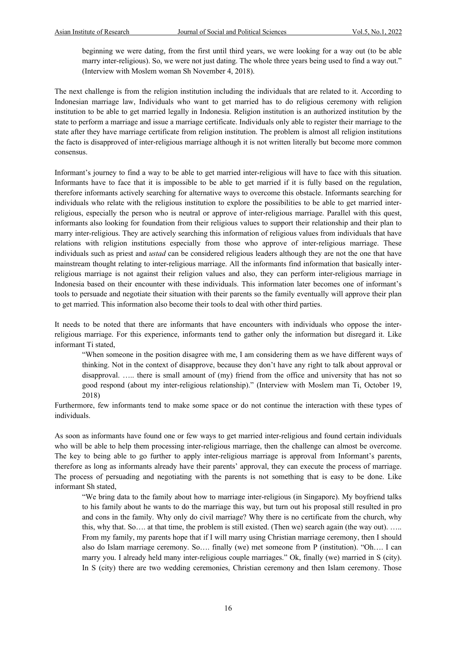beginning we were dating, from the first until third years, we were looking for a way out (to be able marry inter-religious). So, we were not just dating. The whole three years being used to find a way out." (Interview with Moslem woman Sh November 4, 2018).

The next challenge is from the religion institution including the individuals that are related to it. According to Indonesian marriage law, Individuals who want to get married has to do religious ceremony with religion institution to be able to get married legally in Indonesia. Religion institution is an authorized institution by the state to perform a marriage and issue a marriage certificate. Individuals only able to register their marriage to the state after they have marriage certificate from religion institution. The problem is almost all religion institutions the facto is disapproved of inter-religious marriage although it is not written literally but become more common consensus.

Informant's journey to find a way to be able to get married inter-religious will have to face with this situation. Informants have to face that it is impossible to be able to get married if it is fully based on the regulation, therefore informants actively searching for alternative ways to overcome this obstacle. Informants searching for individuals who relate with the religious institution to explore the possibilities to be able to get married interreligious, especially the person who is neutral or approve of inter-religious marriage. Parallel with this quest, informants also looking for foundation from their religious values to support their relationship and their plan to marry inter-religious. They are actively searching this information of religious values from individuals that have relations with religion institutions especially from those who approve of inter-religious marriage. These individuals such as priest and *ustad* can be considered religious leaders although they are not the one that have mainstream thought relating to inter-religious marriage. All the informants find information that basically interreligious marriage is not against their religion values and also, they can perform inter-religious marriage in Indonesia based on their encounter with these individuals. This information later becomes one of informant's tools to persuade and negotiate their situation with their parents so the family eventually will approve their plan to get married. This information also become their tools to deal with other third parties.

It needs to be noted that there are informants that have encounters with individuals who oppose the interreligious marriage. For this experience, informants tend to gather only the information but disregard it. Like informant Ti stated,

"When someone in the position disagree with me, I am considering them as we have different ways of thinking. Not in the context of disapprove, because they don't have any right to talk about approval or disapproval. ….. there is small amount of (my) friend from the office and university that has not so good respond (about my inter-religious relationship)." (Interview with Moslem man Ti, October 19, 2018)

Furthermore, few informants tend to make some space or do not continue the interaction with these types of individuals.

As soon as informants have found one or few ways to get married inter-religious and found certain individuals who will be able to help them processing inter-religious marriage, then the challenge can almost be overcome. The key to being able to go further to apply inter-religious marriage is approval from Informant's parents, therefore as long as informants already have their parents' approval, they can execute the process of marriage. The process of persuading and negotiating with the parents is not something that is easy to be done. Like informant Sh stated,

"We bring data to the family about how to marriage inter-religious (in Singapore). My boyfriend talks to his family about he wants to do the marriage this way, but turn out his proposal still resulted in pro and cons in the family. Why only do civil marriage? Why there is no certificate from the church, why this, why that. So…. at that time, the problem is still existed. (Then we) search again (the way out). ….. From my family, my parents hope that if I will marry using Christian marriage ceremony, then I should also do Islam marriage ceremony. So…. finally (we) met someone from P (institution). "Oh…. I can marry you. I already held many inter-religious couple marriages." Ok, finally (we) married in S (city). In S (city) there are two wedding ceremonies, Christian ceremony and then Islam ceremony. Those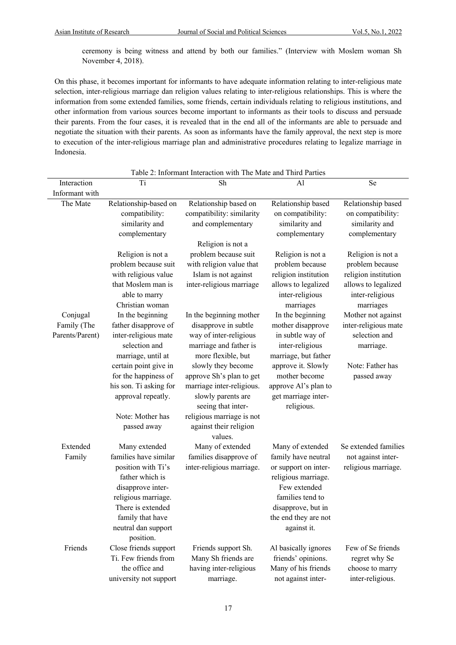ceremony is being witness and attend by both our families." (Interview with Moslem woman Sh November 4, 2018).

On this phase, it becomes important for informants to have adequate information relating to inter-religious mate selection, inter-religious marriage dan religion values relating to inter-religious relationships. This is where the information from some extended families, some friends, certain individuals relating to religious institutions, and other information from various sources become important to informants as their tools to discuss and persuade their parents. From the four cases, it is revealed that in the end all of the informants are able to persuade and negotiate the situation with their parents. As soon as informants have the family approval, the next step is more to execution of the inter-religious marriage plan and administrative procedures relating to legalize marriage in Indonesia.

| Interaction                    | Ti                                                                                                                                                                                      | Sh                                                                                                                      | Al                                                                                                                                                                  | Se                                                   |
|--------------------------------|-----------------------------------------------------------------------------------------------------------------------------------------------------------------------------------------|-------------------------------------------------------------------------------------------------------------------------|---------------------------------------------------------------------------------------------------------------------------------------------------------------------|------------------------------------------------------|
| Informant with                 |                                                                                                                                                                                         |                                                                                                                         |                                                                                                                                                                     |                                                      |
| The Mate                       | Relationship-based on                                                                                                                                                                   | Relationship based on                                                                                                   | Relationship based                                                                                                                                                  | Relationship based                                   |
|                                | compatibility:<br>similarity and<br>complementary                                                                                                                                       | compatibility: similarity<br>and complementary<br>Religion is not a                                                     | on compatibility:<br>similarity and<br>complementary                                                                                                                | on compatibility:<br>similarity and<br>complementary |
|                                | Religion is not a                                                                                                                                                                       | problem because suit                                                                                                    | Religion is not a                                                                                                                                                   | Religion is not a                                    |
|                                | problem because suit                                                                                                                                                                    | with religion value that                                                                                                | problem because                                                                                                                                                     | problem because                                      |
|                                | with religious value                                                                                                                                                                    | Islam is not against                                                                                                    | religion institution                                                                                                                                                | religion institution                                 |
|                                | that Moslem man is<br>able to marry<br>Christian woman                                                                                                                                  | inter-religious marriage                                                                                                | allows to legalized<br>inter-religious<br>marriages                                                                                                                 | allows to legalized<br>inter-religious<br>marriages  |
| Conjugal                       | In the beginning                                                                                                                                                                        | In the beginning mother                                                                                                 | In the beginning                                                                                                                                                    | Mother not against                                   |
| Family (The<br>Parents/Parent) | father disapprove of<br>inter-religious mate<br>selection and<br>marriage, until at                                                                                                     | disapprove in subtle<br>way of inter-religious<br>marriage and father is<br>more flexible, but                          | mother disapprove<br>in subtle way of<br>inter-religious<br>marriage, but father                                                                                    | inter-religious mate<br>selection and<br>marriage.   |
|                                | certain point give in<br>for the happiness of<br>his son. Ti asking for<br>approval repeatly.                                                                                           | slowly they become<br>approve Sh's plan to get<br>marriage inter-religious.<br>slowly parents are<br>seeing that inter- | approve it. Slowly<br>mother become<br>approve Al's plan to<br>get marriage inter-<br>religious.                                                                    | Note: Father has<br>passed away                      |
|                                | Note: Mother has<br>passed away                                                                                                                                                         | religious marriage is not<br>against their religion<br>values.                                                          |                                                                                                                                                                     |                                                      |
| Extended                       | Many extended                                                                                                                                                                           | Many of extended                                                                                                        | Many of extended                                                                                                                                                    | Se extended families                                 |
| Family                         | families have similar<br>position with Ti's<br>father which is<br>disapprove inter-<br>religious marriage.<br>There is extended<br>family that have<br>neutral dan support<br>position. | families disapprove of<br>inter-religious marriage.                                                                     | family have neutral<br>or support on inter-<br>religious marriage.<br>Few extended<br>families tend to<br>disapprove, but in<br>the end they are not<br>against it. | not against inter-<br>religious marriage.            |
| Friends                        | Close friends support                                                                                                                                                                   | Friends support Sh.                                                                                                     | Al basically ignores                                                                                                                                                | Few of Se friends                                    |
|                                | Ti. Few friends from<br>the office and<br>university not support                                                                                                                        | Many Sh friends are<br>having inter-religious<br>marriage.                                                              | friends' opinions.<br>Many of his friends<br>not against inter-                                                                                                     | regret why Se<br>choose to marry<br>inter-religious. |

#### Table 2: Informant Interaction with The Mate and Third Parties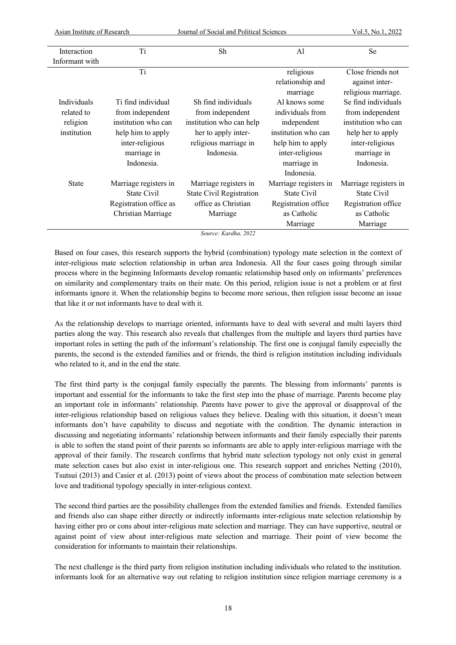| Asian Institute of Research |                        | Journal of Social and Political Sciences |                       | Vol.5, No.1, 2022     |
|-----------------------------|------------------------|------------------------------------------|-----------------------|-----------------------|
|                             |                        |                                          |                       |                       |
| Interaction                 | Ti                     | Sh                                       | Al                    | Se                    |
| Informant with              |                        |                                          |                       |                       |
|                             | Ti                     |                                          | religious             | Close friends not     |
|                             |                        |                                          | relationship and      | against inter-        |
|                             |                        |                                          | marriage              | religious marriage.   |
| Individuals                 | Ti find individual     | Sh find individuals                      | Al knows some         | Se find individuals   |
| related to                  | from independent       | from independent                         | individuals from      | from independent      |
| religion                    | institution who can    | institution who can help                 | independent           | institution who can   |
| institution                 | help him to apply      | her to apply inter-                      | institution who can   | help her to apply     |
|                             | inter-religious        | religious marriage in                    | help him to apply     | inter-religious       |
|                             | marriage in            | Indonesia.                               | inter-religious       | marriage in           |
|                             | Indonesia.             |                                          | marriage in           | Indonesia.            |
|                             |                        |                                          | Indonesia.            |                       |
| <b>State</b>                | Marriage registers in  | Marriage registers in                    | Marriage registers in | Marriage registers in |
|                             | State Civil            | <b>State Civil Registration</b>          | State Civil           | State Civil           |
|                             | Registration office as | office as Christian                      | Registration office   | Registration office   |
|                             | Christian Marriage     | Marriage                                 | as Catholic           | as Catholic           |
|                             |                        |                                          | Marriage              | Marriage              |

*Source: Kardha, 2022*

Based on four cases, this research supports the hybrid (combination) typology mate selection in the context of inter-religious mate selection relationship in urban area Indonesia. All the four cases going through similar process where in the beginning Informants develop romantic relationship based only on informants' preferences on similarity and complementary traits on their mate. On this period, religion issue is not a problem or at first informants ignore it. When the relationship begins to become more serious, then religion issue become an issue that like it or not informants have to deal with it.

As the relationship develops to marriage oriented, informants have to deal with several and multi layers third parties along the way. This research also reveals that challenges from the multiple and layers third parties have important roles in setting the path of the informant's relationship. The first one is conjugal family especially the parents, the second is the extended families and or friends, the third is religion institution including individuals who related to it, and in the end the state.

The first third party is the conjugal family especially the parents. The blessing from informants' parents is important and essential for the informants to take the first step into the phase of marriage. Parents become play an important role in informants' relationship. Parents have power to give the approval or disapproval of the inter-religious relationship based on religious values they believe. Dealing with this situation, it doesn't mean informants don't have capability to discuss and negotiate with the condition. The dynamic interaction in discussing and negotiating informants' relationship between informants and their family especially their parents is able to soften the stand point of their parents so informants are able to apply inter-religious marriage with the approval of their family. The research confirms that hybrid mate selection typology not only exist in general mate selection cases but also exist in inter-religious one. This research support and enriches Netting (2010), Tsutsui (2013) and Casier et al. (2013) point of views about the process of combination mate selection between love and traditional typology specially in inter-religious context.

The second third parties are the possibility challenges from the extended families and friends. Extended families and friends also can shape either directly or indirectly informants inter-religious mate selection relationship by having either pro or cons about inter-religious mate selection and marriage. They can have supportive, neutral or against point of view about inter-religious mate selection and marriage. Their point of view become the consideration for informants to maintain their relationships.

The next challenge is the third party from religion institution including individuals who related to the institution. informants look for an alternative way out relating to religion institution since religion marriage ceremony is a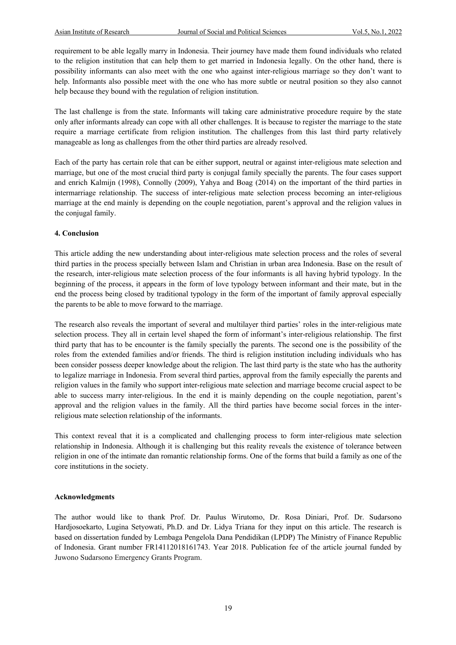requirement to be able legally marry in Indonesia. Their journey have made them found individuals who related to the religion institution that can help them to get married in Indonesia legally. On the other hand, there is possibility informants can also meet with the one who against inter-religious marriage so they don't want to help. Informants also possible meet with the one who has more subtle or neutral position so they also cannot help because they bound with the regulation of religion institution.

The last challenge is from the state. Informants will taking care administrative procedure require by the state only after informants already can cope with all other challenges. It is because to register the marriage to the state require a marriage certificate from religion institution. The challenges from this last third party relatively manageable as long as challenges from the other third parties are already resolved.

Each of the party has certain role that can be either support, neutral or against inter-religious mate selection and marriage, but one of the most crucial third party is conjugal family specially the parents. The four cases support and enrich Kalmijn (1998), Connolly (2009), Yahya and Boag (2014) on the important of the third parties in intermarriage relationship. The success of inter-religious mate selection process becoming an inter-religious marriage at the end mainly is depending on the couple negotiation, parent's approval and the religion values in the conjugal family.

#### **4. Conclusion**

This article adding the new understanding about inter-religious mate selection process and the roles of several third parties in the process specially between Islam and Christian in urban area Indonesia. Base on the result of the research, inter-religious mate selection process of the four informants is all having hybrid typology. In the beginning of the process, it appears in the form of love typology between informant and their mate, but in the end the process being closed by traditional typology in the form of the important of family approval especially the parents to be able to move forward to the marriage.

The research also reveals the important of several and multilayer third parties' roles in the inter-religious mate selection process. They all in certain level shaped the form of informant's inter-religious relationship. The first third party that has to be encounter is the family specially the parents. The second one is the possibility of the roles from the extended families and/or friends. The third is religion institution including individuals who has been consider possess deeper knowledge about the religion. The last third party is the state who has the authority to legalize marriage in Indonesia. From several third parties, approval from the family especially the parents and religion values in the family who support inter-religious mate selection and marriage become crucial aspect to be able to success marry inter-religious. In the end it is mainly depending on the couple negotiation, parent's approval and the religion values in the family. All the third parties have become social forces in the interreligious mate selection relationship of the informants.

This context reveal that it is a complicated and challenging process to form inter-religious mate selection relationship in Indonesia. Although it is challenging but this reality reveals the existence of tolerance between religion in one of the intimate dan romantic relationship forms. One of the forms that build a family as one of the core institutions in the society.

#### **Acknowledgments**

The author would like to thank Prof. Dr. Paulus Wirutomo, Dr. Rosa Diniari, Prof. Dr. Sudarsono Hardjosoekarto, Lugina Setyowati, Ph.D. and Dr. Lidya Triana for they input on this article. The research is based on dissertation funded by Lembaga Pengelola Dana Pendidikan (LPDP) The Ministry of Finance Republic of Indonesia. Grant number FR14112018161743. Year 2018. Publication fee of the article journal funded by Juwono Sudarsono Emergency Grants Program.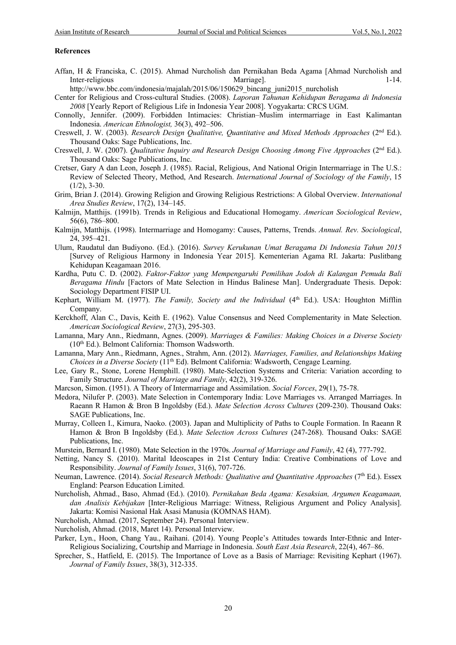#### **References**

Affan, H & Franciska, C. (2015). Ahmad Nurcholish dan Pernikahan Beda Agama [Ahmad Nurcholish and Inter-religious Marriagel.

http://www.bbc.com/indonesia/majalah/2015/06/150629\_bincang\_juni2015\_nurcholish

- Center for Religious and Cross-cultural Studies. (2008). *Laporan Tahunan Kehidupan Beragama di Indonesia 2008* [Yearly Report of Religious Life in Indonesia Year 2008]. Yogyakarta: CRCS UGM.
- Connolly, Jennifer. (2009). Forbidden Intimacies: Christian–Muslim intermarriage in East Kalimantan Indonesia. *American Ethnologist,* 36(3), 492–506.
- Creswell, J. W. (2003). *Research Design Qualitative, Quantitative and Mixed Methods Approaches* (2nd Ed.). Thousand Oaks: Sage Publications, Inc.
- Creswell, J. W. (2007). *Qualitative Inquiry and Research Design Choosing Among Five Approaches* (2nd Ed.). Thousand Oaks: Sage Publications, Inc.
- Cretser, Gary A dan Leon, Joseph J. (1985). Racial, Religious, And National Origin Intermarriage in The U.S.: Review of Selected Theory, Method, And Research. *International Journal of Sociology of the Family*, 15  $(1/2)$ , 3-30.
- Grim, Brian J. (2014). Growing Religion and Growing Religious Restrictions: A Global Overview. *International Area Studies Review*, 17(2), 134–145.
- Kalmijn, Matthijs. (1991b). Trends in Religious and Educational Homogamy. *American Sociological Review*, 56(6), 786–800.
- Kalmijn, Matthijs. (1998). Intermarriage and Homogamy: Causes, Patterns, Trends. *Annual. Rev. Sociological*, 24, 395–421.
- Ulum, Raudatul dan Budiyono. (Ed.). (2016). *Survey Kerukunan Umat Beragama Di Indonesia Tahun 2015* [Survey of Religious Harmony in Indonesia Year 2015]. Kementerian Agama RI. Jakarta: Puslitbang Kehidupan Keagamaan 2016.
- Kardha, Putu C. D. (2002). *Faktor-Faktor yang Mempengaruhi Pemilihan Jodoh di Kalangan Pemuda Bali Beragama Hindu* [Factors of Mate Selection in Hindus Balinese Man]. Undergraduate Thesis. Depok: Sociology Department FISIP UI.
- Kephart, William M. (1977). *The Family, Society and the Individual* (4th Ed.). USA: Houghton Mifflin Company.
- Kerckhoff, Alan C., Davis, Keith E. (1962). Value Consensus and Need Complementarity in Mate Selection. *American Sociological Review*, 27(3), 295-303.
- Lamanna, Mary Ann., Riedmann, Agnes. (2009). *Marriages & Families: Making Choices in a Diverse Society* (10th Ed.). Belmont California: Thomson Wadsworth.
- Lamanna, Mary Ann., Riedmann, Agnes., Strahm, Ann. (2012). *Marriages, Families, and Relationships Making Choices in a Diverse Society* (11th Ed). Belmont California: Wadsworth, Cengage Learning.
- Lee, Gary R., Stone, Lorene Hemphill. (1980). Mate-Selection Systems and Criteria: Variation according to Family Structure. *Journal of Marriage and Family*, 42(2), 319-326.
- Marcson, Simon. (1951). A Theory of Intermarriage and Assimilation. *Social Forces*, 29(1), 75-78.
- Medora, Nilufer P. (2003). Mate Selection in Contemporary India: Love Marriages vs. Arranged Marriages. In Raeann R Hamon & Bron B Ingoldsby (Ed.). *Mate Selection Across Cultures* (209-230). Thousand Oaks: SAGE Publications, Inc.
- Murray, Colleen I., Kimura, Naoko. (2003). Japan and Multiplicity of Paths to Couple Formation. In Raeann R Hamon & Bron B Ingoldsby (Ed.). *Mate Selection Across Cultures* (247-268). Thousand Oaks: SAGE Publications, Inc.
- Murstein, Bernard I. (1980). Mate Selection in the 1970s. *Journal of Marriage and Family*, 42 (4), 777-792.
- Netting, Nancy S. (2010). Marital Ideoscapes in 21st Century India: Creative Combinations of Love and Responsibility. *Journal of Family Issues*, 31(6), 707-726.
- Neuman, Lawrence. (2014). *Social Research Methods: Qualitative and Quantitative Approaches* (7<sup>th</sup> Ed.). Essex England: Pearson Education Limited.
- Nurcholish, Ahmad., Baso, Ahmad (Ed.). (2010). *Pernikahan Beda Agama: Kesaksian, Argumen Keagamaan, dan Analisis Kebijakan* [Inter-Religious Marriage: Witness, Religious Argument and Policy Analysis]. Jakarta: Komisi Nasional Hak Asasi Manusia (KOMNAS HAM).
- Nurcholish, Ahmad. (2017, September 24). Personal Interview.
- Nurcholish, Ahmad. (2018, Maret 14). Personal Interview.
- Parker, Lyn., Hoon, Chang Yau., Raihani. (2014). Young People's Attitudes towards Inter-Ethnic and Inter-Religious Socializing, Courtship and Marriage in Indonesia. *South East Asia Research*, 22(4), 467–86.
- Sprecher, S., Hatfield, E. (2015). The Importance of Love as a Basis of Marriage: Revisiting Kephart (1967). *Journal of Family Issues*, 38(3), 312-335.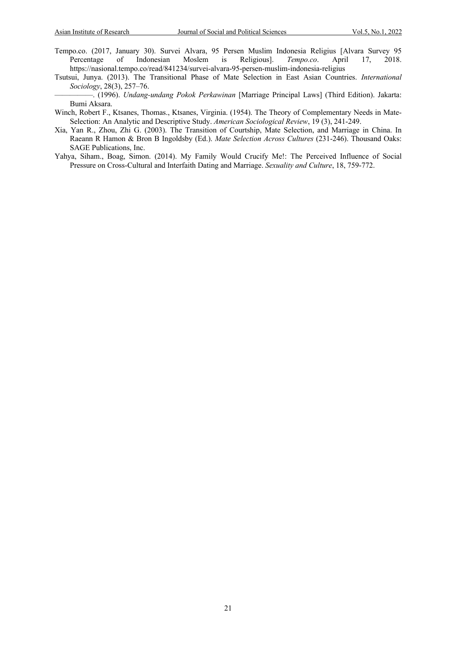- Tempo.co. (2017, January 30). Survei Alvara, 95 Persen Muslim Indonesia Religius [Alvara Survey 95 Persentage of Indonesian Moslem is Religious]. *Tempo.co*. April 17. 2018. Percentage of Indonesian Moslem is Religious]. *Tempo.co*. April 17, 2018. https://nasional.tempo.co/read/841234/survei-alvara-95-persen-muslim-indonesia-religius
- Tsutsui, Junya. (2013). The Transitional Phase of Mate Selection in East Asian Countries. *International Sociology*, 28(3), 257–76.
- —————. (1996). *Undang-undang Pokok Perkawinan* [Marriage Principal Laws] (Third Edition). Jakarta: Bumi Aksara.
- Winch, Robert F., Ktsanes, Thomas., Ktsanes, Virginia. (1954). The Theory of Complementary Needs in Mate-Selection: An Analytic and Descriptive Study. *American Sociological Review*, 19 (3), 241-249.
- Xia, Yan R., Zhou, Zhi G. (2003). The Transition of Courtship, Mate Selection, and Marriage in China. In Raeann R Hamon & Bron B Ingoldsby (Ed.). *Mate Selection Across Cultures* (231-246). Thousand Oaks: SAGE Publications, Inc.
- Yahya, Siham., Boag, Simon. (2014). My Family Would Crucify Me!: The Perceived Influence of Social Pressure on Cross-Cultural and Interfaith Dating and Marriage. *Sexuality and Culture*, 18, 759-772.